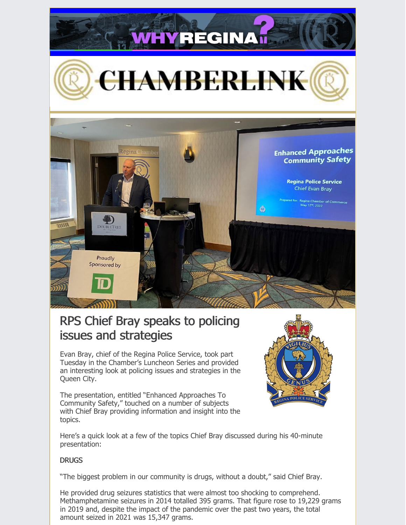

# RPS Chief Bray speaks to policing issues and strategies

Evan Bray, chief of the Regina Police Service, took part Tuesday in the Chamber's Luncheon Series and provided an interesting look at policing issues and strategies in the Queen City.

The presentation, entitled "Enhanced Approaches To Community Safety," touched on a number of subjects with Chief Bray providing information and insight into the topics.



Here's a quick look at a few of the topics Chief Bray discussed during his 40-minute presentation:

## **DRUGS**

"The biggest problem in our community is drugs, without a doubt," said Chief Bray.

He provided drug seizures statistics that were almost too shocking to comprehend. Methamphetamine seizures in 2014 totalled 395 grams. That figure rose to 19,229 grams in 2019 and, despite the impact of the pandemic over the past two years, the total amount seized in 2021 was 15,347 grams.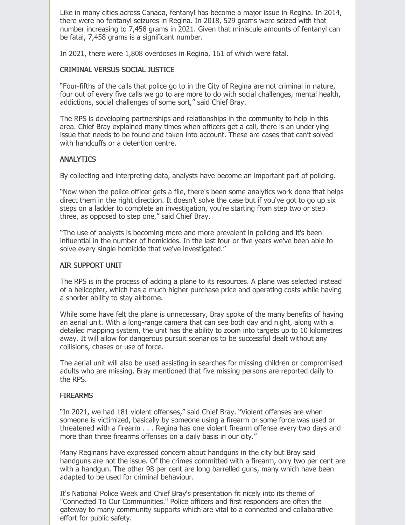Like in many cities across Canada, fentanyl has become a major issue in Regina. In 2014, there were no fentanyl seizures in Regina. In 2018, 529 grams were seized with that number increasing to 7,458 grams in 2021. Given that miniscule amounts of fentanyl can be fatal, 7,458 grams is a significant number.

In 2021, there were 1,808 overdoses in Regina, 161 of which were fatal.

### CRIMINAL VERSUS SOCIAL JUSTICE

"Four-fifths of the calls that police go to in the City of Regina are not criminal in nature, four out of every five calls we go to are more to do with social challenges, mental health, addictions, social challenges of some sort," said Chief Bray.

The RPS is developing partnerships and relationships in the community to help in this area. Chief Bray explained many times when officers get a call, there is an underlying issue that needs to be found and taken into account. These are cases that can't solved with handcuffs or a detention centre.

## **ANALYTICS**

By collecting and interpreting data, analysts have become an important part of policing.

"Now when the police officer gets a file, there's been some analytics work done that helps direct them in the right direction. It doesn't solve the case but if you've got to go up six steps on a ladder to complete an investigation, you're starting from step two or step three, as opposed to step one," said Chief Bray.

"The use of analysts is becoming more and more prevalent in policing and it's been influential in the number of homicides. In the last four or five years we've been able to solve every single homicide that we've investigated."

#### AIR SUPPORT UNIT

The RPS is in the process of adding a plane to its resources. A plane was selected instead of a helicopter, which has a much higher purchase price and operating costs while having a shorter ability to stay airborne.

While some have felt the plane is unnecessary, Bray spoke of the many benefits of having an aerial unit. With a long-range camera that can see both day and night, along with a detailed mapping system, the unit has the ability to zoom into targets up to 10 kilometres away. It will allow for dangerous pursuit scenarios to be successful dealt without any collisions, chases or use of force.

The aerial unit will also be used assisting in searches for missing children or compromised adults who are missing. Bray mentioned that five missing persons are reported daily to the RPS.

## **FIREARMS**

"In 2021, we had 181 violent offenses," said Chief Bray. "Violent offenses are when someone is victimized, basically by someone using a firearm or some force was used or threatened with a firearm . . . Regina has one violent firearm offense every two days and more than three firearms offenses on a daily basis in our city."

Many Reginans have expressed concern about handguns in the city but Bray said handguns are not the issue. Of the crimes committed with a firearm, only two per cent are with a handgun. The other 98 per cent are long barrelled guns, many which have been adapted to be used for criminal behaviour.

It's National Police Week and Chief Bray's presentation fit nicely into its theme of "Connected To Our Communities." Police officers and first responders are often the gateway to many community supports which are vital to a connected and collaborative effort for public safety.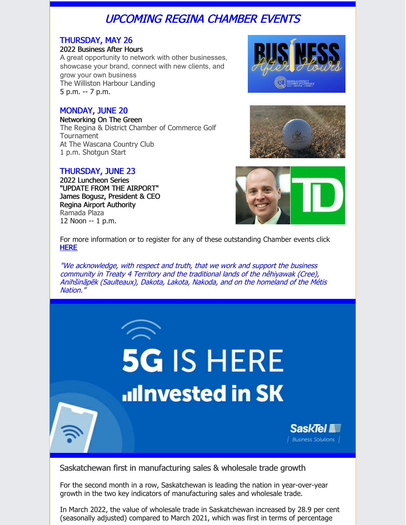# UPCOMING REGINA CHAMBER EVENTS

# THURSDAY, MAY 26

#### 2022 Business After Hours

A great opportunity to network with other businesses, showcase your brand, connect with new clients, and grow your own business The Williston Harbour Landing 5 p.m. -- 7 p.m.

# MONDAY, JUNE 20

Networking On The Green The Regina & District Chamber of Commerce Golf Tournament At The Wascana Country Club 1 p.m. Shotgun Start

# THURSDAY, JUNE 23

2022 Luncheon Series "UPDATE FROM THE AIRPORT" James Bogusz, President & CEO Regina Airport Authority Ramada Plaza 12 Noon -- 1 p.m.







For more information or to register for any of these outstanding Chamber events click [HERE](http://chambermaster.reginachamber.com/events)

"We acknowledge, with respect and truth, that we work and support the business community in Treaty 4 Territory and the traditional lands of the nêhiyawak (Cree), Anihšināpēk (Saulteaux), Dakota, Lakota, Nakoda, and on the homeland of the Métis Nation."

# **5G IS HERE ulnvested in SK** SaskTel 重 | Business Solutions |

Saskatchewan first in manufacturing sales & wholesale trade growth

For the second month in a row, Saskatchewan is leading the nation in year-over-year growth in the two key indicators of manufacturing sales and wholesale trade.

In March 2022, the value of wholesale trade in Saskatchewan increased by 28.9 per cent (seasonally adjusted) compared to March 2021, which was first in terms of percentage